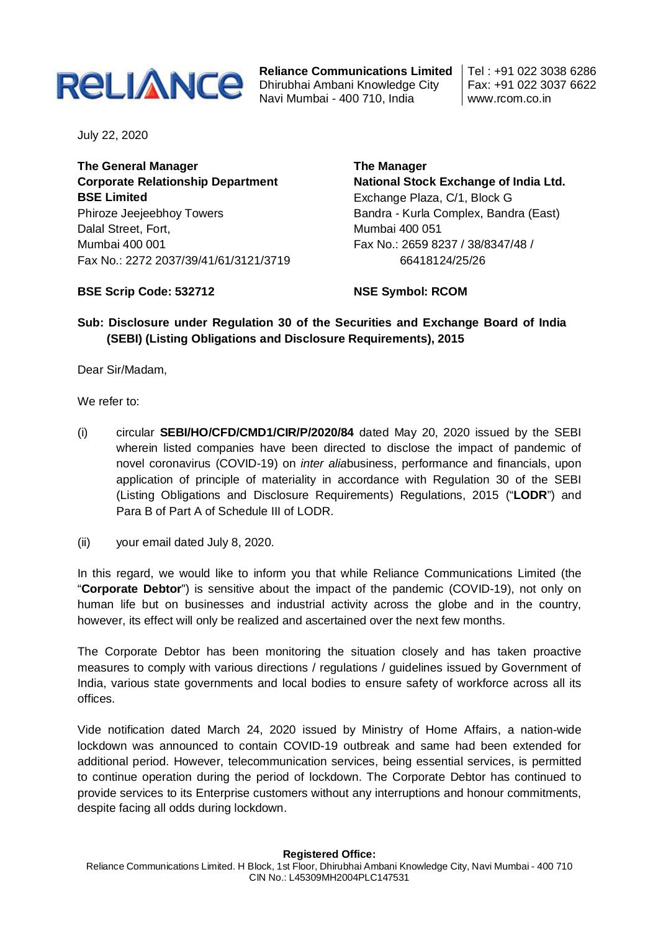

**Reliance Communications Limited** Dhirubhai Ambani Knowledge City Navi Mumbai - 400 710, India

Tel : +91 022 3038 6286 Fax: +91 022 3037 6622 www.rcom.co.in

July 22, 2020

**The General Manager Corporate Relationship Department BSE Limited** Phiroze Jeejeebhoy Towers Dalal Street, Fort, Mumbai 400 001 Fax No.: 2272 2037/39/41/61/3121/3719 **The Manager National Stock Exchange of India Ltd.** Exchange Plaza, C/1, Block G Bandra - Kurla Complex, Bandra (East) Mumbai 400 051 Fax No.: 2659 8237 / 38/8347/48 / 66418124/25/26

## **BSE Scrip Code: 532712**

**NSE Symbol: RCOM**

## **Sub: Disclosure under Regulation 30 of the Securities and Exchange Board of India (SEBI) (Listing Obligations and Disclosure Requirements), 2015**

Dear Sir/Madam,

We refer to:

- (i) circular **SEBI/HO/CFD/CMD1/CIR/P/2020/84** dated May 20, 2020 issued by the SEBI wherein listed companies have been directed to disclose the impact of pandemic of novel coronavirus (COVID-19) on *inter alia*business, performance and financials, upon application of principle of materiality in accordance with Regulation 30 of the SEBI (Listing Obligations and Disclosure Requirements) Regulations, 2015 ("**LODR**") and Para B of Part A of Schedule III of LODR.
- (ii) your email dated July 8, 2020.

In this regard, we would like to inform you that while Reliance Communications Limited (the "**Corporate Debtor**") is sensitive about the impact of the pandemic (COVID-19), not only on human life but on businesses and industrial activity across the globe and in the country, however, its effect will only be realized and ascertained over the next few months.

The Corporate Debtor has been monitoring the situation closely and has taken proactive measures to comply with various directions / regulations / guidelines issued by Government of India, various state governments and local bodies to ensure safety of workforce across all its offices.

Vide notification dated March 24, 2020 issued by Ministry of Home Affairs, a nation-wide lockdown was announced to contain COVID-19 outbreak and same had been extended for additional period. However, telecommunication services, being essential services, is permitted to continue operation during the period of lockdown. The Corporate Debtor has continued to provide services to its Enterprise customers without any interruptions and honour commitments, despite facing all odds during lockdown.

## **Registered Office:**